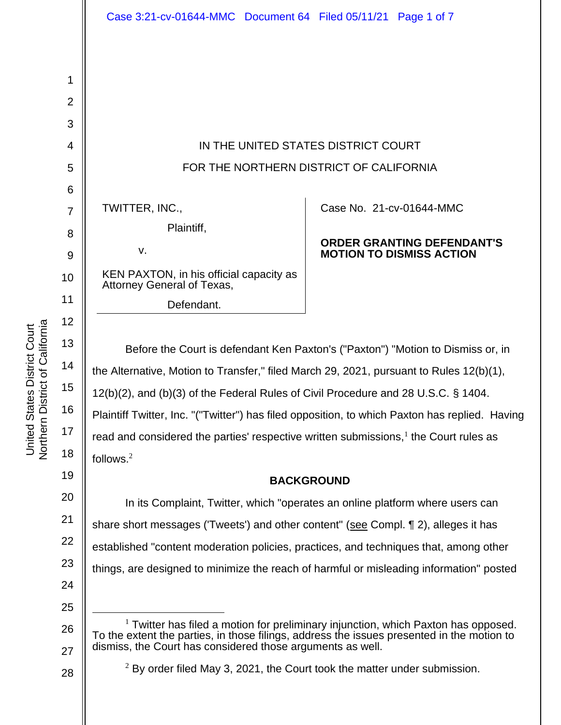United States District Court

United States District Court<br>Northern District of California

27

28

| 1              |                                                                                                                                                                            |                                                                      |
|----------------|----------------------------------------------------------------------------------------------------------------------------------------------------------------------------|----------------------------------------------------------------------|
| 2              |                                                                                                                                                                            |                                                                      |
| 3              |                                                                                                                                                                            |                                                                      |
| 4              | IN THE UNITED STATES DISTRICT COURT                                                                                                                                        |                                                                      |
| 5              | FOR THE NORTHERN DISTRICT OF CALIFORNIA                                                                                                                                    |                                                                      |
| 6              |                                                                                                                                                                            |                                                                      |
| $\overline{7}$ | TWITTER, INC.,                                                                                                                                                             | Case No. 21-cv-01644-MMC                                             |
| 8              | Plaintiff,                                                                                                                                                                 |                                                                      |
| 9              | v.                                                                                                                                                                         | <b>ORDER GRANTING DEFENDANT'S</b><br><b>MOTION TO DISMISS ACTION</b> |
| 10             | KEN PAXTON, in his official capacity as<br>Attorney General of Texas,                                                                                                      |                                                                      |
| 11             | Defendant.                                                                                                                                                                 |                                                                      |
| 12             |                                                                                                                                                                            |                                                                      |
| 13             | Before the Court is defendant Ken Paxton's ("Paxton") "Motion to Dismiss or, in                                                                                            |                                                                      |
| 14             | the Alternative, Motion to Transfer," filed March 29, 2021, pursuant to Rules 12(b)(1),                                                                                    |                                                                      |
| 15             | 12(b)(2), and (b)(3) of the Federal Rules of Civil Procedure and 28 U.S.C. § 1404.                                                                                         |                                                                      |
| 16             | Plaintiff Twitter, Inc. "("Twitter") has filed opposition, to which Paxton has replied. Having                                                                             |                                                                      |
| 17             | read and considered the parties' respective written submissions, $1$ the Court rules as                                                                                    |                                                                      |
| 18             | follows. $2$                                                                                                                                                               |                                                                      |
| 19             | <b>BACKGROUND</b>                                                                                                                                                          |                                                                      |
| 20             | In its Complaint, Twitter, which "operates an online platform where users can                                                                                              |                                                                      |
| 21             | share short messages ('Tweets') and other content" (see Compl. 12), alleges it has                                                                                         |                                                                      |
| 22             | established "content moderation policies, practices, and techniques that, among other                                                                                      |                                                                      |
| 23             | things, are designed to minimize the reach of harmful or misleading information" posted                                                                                    |                                                                      |
| 24             |                                                                                                                                                                            |                                                                      |
| 25             |                                                                                                                                                                            |                                                                      |
| 26             | $1$ Twitter has filed a motion for preliminary injunction, which Paxton has opposed.<br>the oxtent the perties in these filings, address the issues presented in the moti- |                                                                      |

 $2$  By order filed May 3, 2021, the Court took the matter under submission.

To the extent the parties, in those filings, address the issues presented in the motion to dismiss, the Court has considered those arguments as well.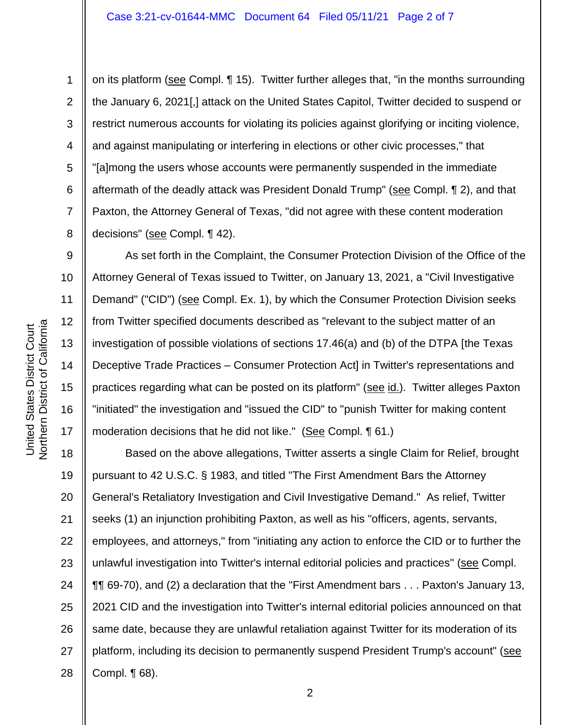on its platform (see Compl. 15). Twitter further alleges that, "in the months surrounding the January 6, 2021[,] attack on the United States Capitol, Twitter decided to suspend or restrict numerous accounts for violating its policies against glorifying or inciting violence, and against manipulating or interfering in elections or other civic processes," that "[a]mong the users whose accounts were permanently suspended in the immediate aftermath of the deadly attack was President Donald Trump" (see Compl. 12), and that Paxton, the Attorney General of Texas, "did not agree with these content moderation decisions" (see Compl. ¶ 42).

As set forth in the Complaint, the Consumer Protection Division of the Office of the Attorney General of Texas issued to Twitter, on January 13, 2021, a "Civil Investigative Demand" ("CID") (see Compl. Ex. 1), by which the Consumer Protection Division seeks from Twitter specified documents described as "relevant to the subject matter of an investigation of possible violations of sections 17.46(a) and (b) of the DTPA [the Texas Deceptive Trade Practices – Consumer Protection Act] in Twitter's representations and practices regarding what can be posted on its platform" (see id.). Twitter alleges Paxton "initiated" the investigation and "issued the CID" to "punish Twitter for making content moderation decisions that he did not like." (See Compl. 161.)

18 19 20 21 22 23 24 25 26 27 28 Based on the above allegations, Twitter asserts a single Claim for Relief, brought pursuant to 42 U.S.C. § 1983, and titled "The First Amendment Bars the Attorney General's Retaliatory Investigation and Civil Investigative Demand." As relief, Twitter seeks (1) an injunction prohibiting Paxton, as well as his "officers, agents, servants, employees, and attorneys," from "initiating any action to enforce the CID or to further the unlawful investigation into Twitter's internal editorial policies and practices" (see Compl. ¶¶ 69-70), and (2) a declaration that the "First Amendment bars . . . Paxton's January 13, 2021 CID and the investigation into Twitter's internal editorial policies announced on that same date, because they are unlawful retaliation against Twitter for its moderation of its platform, including its decision to permanently suspend President Trump's account" (see Compl. ¶ 68).

1

2

3

4

5

6

7

8

9

10

11

12

13

14

15

16

17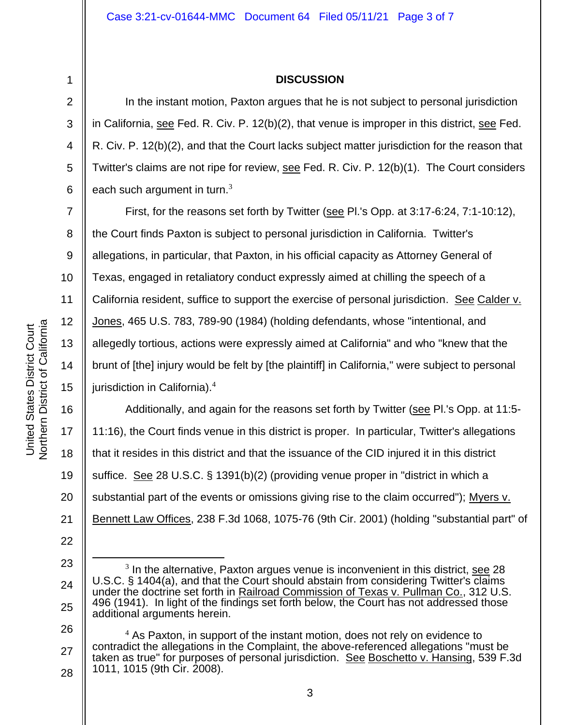1 2

3

4

5

6

7

8

9

10

11

12

13

14

15

17

19

21

22

## **DISCUSSION**

In the instant motion, Paxton argues that he is not subject to personal jurisdiction in California, see Fed. R. Civ. P. 12(b)(2), that venue is improper in this district, see Fed. R. Civ. P. 12(b)(2), and that the Court lacks subject matter jurisdiction for the reason that Twitter's claims are not ripe for review, see Fed. R. Civ. P. 12(b)(1). The Court considers each such argument in turn. $3$ 

First, for the reasons set forth by Twitter (see Pl.'s Opp. at 3:17-6:24, 7:1-10:12), the Court finds Paxton is subject to personal jurisdiction in California. Twitter's allegations, in particular, that Paxton, in his official capacity as Attorney General of Texas, engaged in retaliatory conduct expressly aimed at chilling the speech of a California resident, suffice to support the exercise of personal jurisdiction. See Calder v. Jones, 465 U.S. 783, 789-90 (1984) (holding defendants, whose "intentional, and allegedly tortious, actions were expressly aimed at California" and who "knew that the brunt of [the] injury would be felt by [the plaintiff] in California," were subject to personal jurisdiction in California).<sup>4</sup>

16 18 20 Additionally, and again for the reasons set forth by Twitter (see Pl.'s Opp. at 11:5- 11:16), the Court finds venue in this district is proper. In particular, Twitter's allegations that it resides in this district and that the issuance of the CID injured it in this district suffice. See 28 U.S.C. § 1391(b)(2) (providing venue proper in "district in which a substantial part of the events or omissions giving rise to the claim occurred"); Myers v. Bennett Law Offices, 238 F.3d 1068, 1075-76 (9th Cir. 2001) (holding "substantial part" of

26 27 28  $<sup>4</sup>$  As Paxton, in support of the instant motion, does not rely on evidence to</sup> contradict the allegations in the Complaint, the above-referenced allegations "must be taken as true" for purposes of personal jurisdiction. See Boschetto v. Hansing, 539 F.3d 1011, 1015 (9th Cir. 2008).

<sup>23</sup>

<sup>24</sup> 25

 $3$  In the alternative, Paxton argues venue is inconvenient in this district, see 28 U.S.C. § 1404(a), and that the Court should abstain from considering Twitter's claims under the doctrine set forth in Railroad Commission of Texas v. Pullman Co., 312 U.S. 496 (1941). In light of the findings set forth below, the Court has not addressed those additional arguments herein.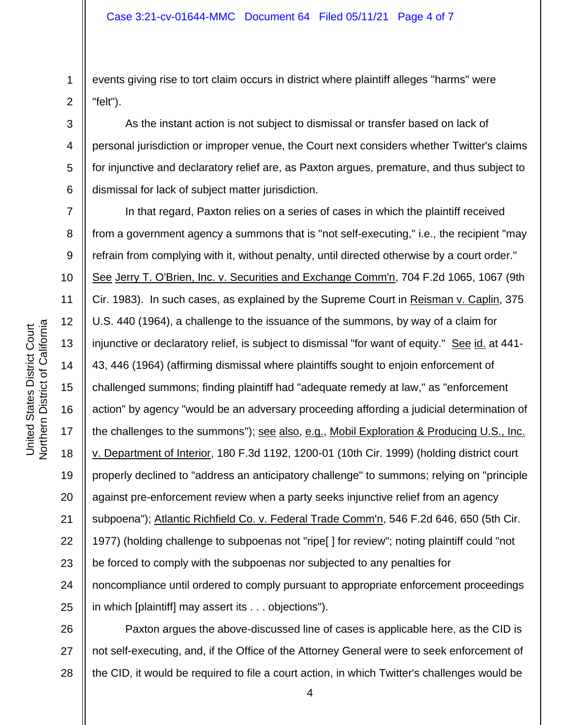1 2 events giving rise to tort claim occurs in district where plaintiff alleges "harms" were "felt").

3 4 5 6 As the instant action is not subject to dismissal or transfer based on lack of personal jurisdiction or improper venue, the Court next considers whether Twitter's claims for injunctive and declaratory relief are, as Paxton argues, premature, and thus subject to dismissal for lack of subject matter jurisdiction.

7 8 9 10 11 12 13 14 15 16 17 18 19 20 21 22 23 24 25 In that regard, Paxton relies on a series of cases in which the plaintiff received from a government agency a summons that is "not self-executing," i.e., the recipient "may refrain from complying with it, without penalty, until directed otherwise by a court order." See Jerry T. O'Brien, Inc. v. Securities and Exchange Comm'n, 704 F.2d 1065, 1067 (9th Cir. 1983). In such cases, as explained by the Supreme Court in Reisman v. Caplin, 375 U.S. 440 (1964), a challenge to the issuance of the summons, by way of a claim for injunctive or declaratory relief, is subject to dismissal "for want of equity." See id. at 441- 43, 446 (1964) (affirming dismissal where plaintiffs sought to enjoin enforcement of challenged summons; finding plaintiff had "adequate remedy at law," as "enforcement action" by agency "would be an adversary proceeding affording a judicial determination of the challenges to the summons"); see also, e.g., Mobil Exploration & Producing U.S., Inc. v. Department of Interior, 180 F.3d 1192, 1200-01 (10th Cir. 1999) (holding district court properly declined to "address an anticipatory challenge" to summons; relying on "principle against pre-enforcement review when a party seeks injunctive relief from an agency subpoena"); Atlantic Richfield Co. v. Federal Trade Comm'n, 546 F.2d 646, 650 (5th Cir. 1977) (holding challenge to subpoenas not "ripe[ ] for review"; noting plaintiff could "not be forced to comply with the subpoenas nor subjected to any penalties for noncompliance until ordered to comply pursuant to appropriate enforcement proceedings in which [plaintiff] may assert its . . . objections").

26 27 28 Paxton argues the above-discussed line of cases is applicable here, as the CID is not self-executing, and, if the Office of the Attorney General were to seek enforcement of the CID, it would be required to file a court action, in which Twitter's challenges would be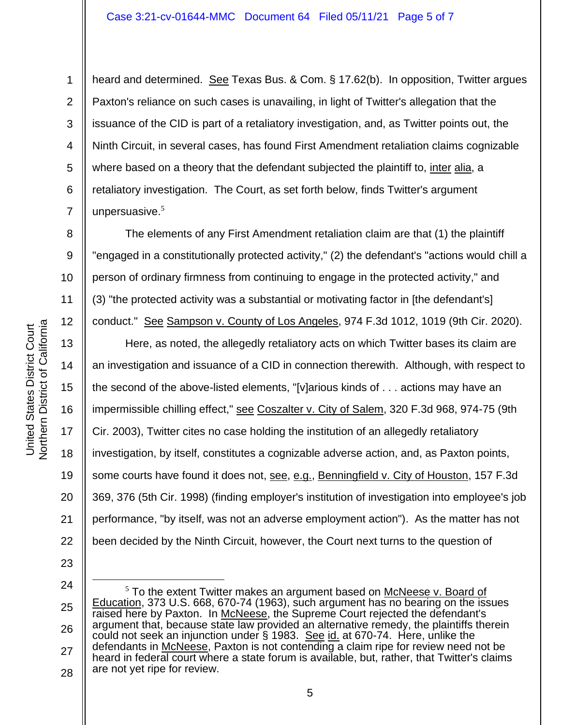heard and determined. See Texas Bus. & Com. § 17.62(b). In opposition, Twitter argues Paxton's reliance on such cases is unavailing, in light of Twitter's allegation that the issuance of the CID is part of a retaliatory investigation, and, as Twitter points out, the Ninth Circuit, in several cases, has found First Amendment retaliation claims cognizable where based on a theory that the defendant subjected the plaintiff to, inter alia, a retaliatory investigation. The Court, as set forth below, finds Twitter's argument unpersuasive. 5

The elements of any First Amendment retaliation claim are that (1) the plaintiff "engaged in a constitutionally protected activity," (2) the defendant's "actions would chill a person of ordinary firmness from continuing to engage in the protected activity," and (3) "the protected activity was a substantial or motivating factor in [the defendant's]

conduct." See Sampson v. County of Los Angeles, 974 F.3d 1012, 1019 (9th Cir. 2020).

13 14 15 16 17 18 19 20 22 Here, as noted, the allegedly retaliatory acts on which Twitter bases its claim are an investigation and issuance of a CID in connection therewith. Although, with respect to the second of the above-listed elements, "[v]arious kinds of . . . actions may have an impermissible chilling effect," see Coszalter v. City of Salem, 320 F.3d 968, 974-75 (9th Cir. 2003), Twitter cites no case holding the institution of an allegedly retaliatory investigation, by itself, constitutes a cognizable adverse action, and, as Paxton points, some courts have found it does not, see, e.g., Benningfield v. City of Houston, 157 F.3d 369, 376 (5th Cir. 1998) (finding employer's institution of investigation into employee's job performance, "by itself, was not an adverse employment action"). As the matter has not been decided by the Ninth Circuit, however, the Court next turns to the question of

23 24

21

Northern District of California Northern District of California United States District Court United States District Court

1

2

3

4

5

6

7

8

9

10

11

12

<sup>25</sup> 26 27 28  $5$  To the extent Twitter makes an argument based on McNeese v. Board of Education, 373 U.S. 668, 670-74 (1963), such argument has no bearing on the issues raised here by Paxton. In McNeese, the Supreme Court rejected the defendant's argument that, because state law provided an alternative remedy, the plaintiffs therein could not seek an injunction under § 1983. See id. at 670-74. Here, unlike the defendants in McNeese, Paxton is not contending a claim ripe for review need not be heard in federal court where a state forum is available, but, rather, that Twitter's claims are not yet ripe for review.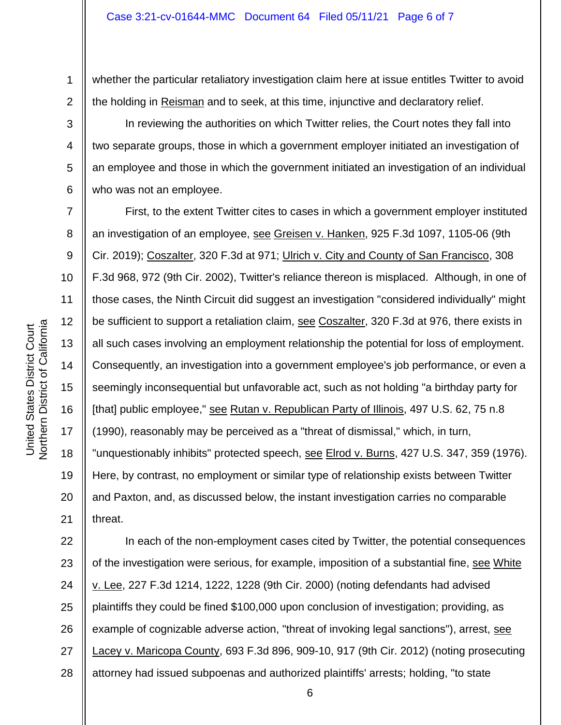2 whether the particular retaliatory investigation claim here at issue entitles Twitter to avoid the holding in Reisman and to seek, at this time, injunctive and declaratory relief.

In reviewing the authorities on which Twitter relies, the Court notes they fall into two separate groups, those in which a government employer initiated an investigation of an employee and those in which the government initiated an investigation of an individual who was not an employee.

10 11 12 13 14 15 16 18 19 20 21 First, to the extent Twitter cites to cases in which a government employer instituted an investigation of an employee, see Greisen v. Hanken, 925 F.3d 1097, 1105-06 (9th Cir. 2019); Coszalter, 320 F.3d at 971; Ulrich v. City and County of San Francisco, 308 F.3d 968, 972 (9th Cir. 2002), Twitter's reliance thereon is misplaced. Although, in one of those cases, the Ninth Circuit did suggest an investigation "considered individually" might be sufficient to support a retaliation claim, see Coszalter, 320 F.3d at 976, there exists in all such cases involving an employment relationship the potential for loss of employment. Consequently, an investigation into a government employee's job performance, or even a seemingly inconsequential but unfavorable act, such as not holding "a birthday party for [that] public employee," see Rutan v. Republican Party of Illinois, 497 U.S. 62, 75 n.8 (1990), reasonably may be perceived as a "threat of dismissal," which, in turn, "unquestionably inhibits" protected speech, see Elrod v. Burns, 427 U.S. 347, 359 (1976). Here, by contrast, no employment or similar type of relationship exists between Twitter and Paxton, and, as discussed below, the instant investigation carries no comparable threat.

22 23 24 25 26 27 28 In each of the non-employment cases cited by Twitter, the potential consequences of the investigation were serious, for example, imposition of a substantial fine, see White v. Lee, 227 F.3d 1214, 1222, 1228 (9th Cir. 2000) (noting defendants had advised plaintiffs they could be fined \$100,000 upon conclusion of investigation; providing, as example of cognizable adverse action, "threat of invoking legal sanctions"), arrest, see Lacey v. Maricopa County, 693 F.3d 896, 909-10, 917 (9th Cir. 2012) (noting prosecuting attorney had issued subpoenas and authorized plaintiffs' arrests; holding, "to state

1

3

4

5

6

7

8

9

17